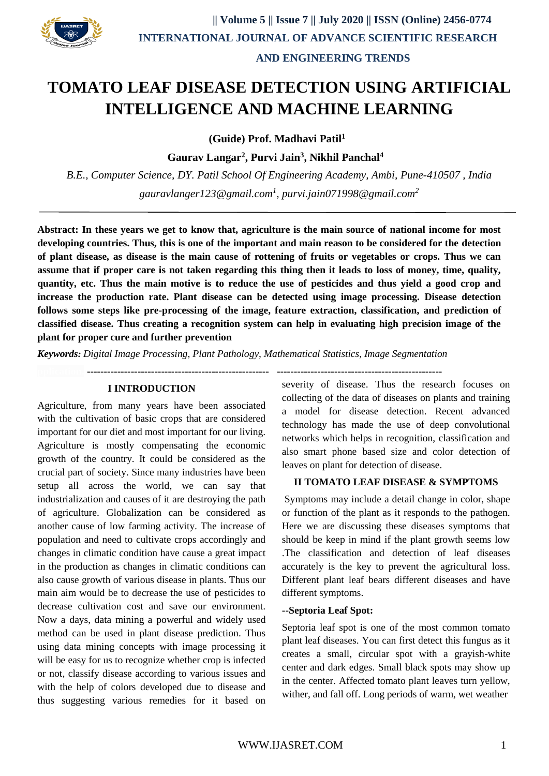

# **TOMATO LEAF DISEASE DETECTION USING ARTIFICIAL INTELLIGENCE AND MACHINE LEARNING**

 **(Guide) Prof. Madhavi Patil<sup>1</sup>**

 **Gaurav Langar<sup>2</sup> , Purvi Jain<sup>3</sup> , Nikhil Panchal<sup>4</sup>**

*B.E., Computer Science, DY. Patil School Of Engineering Academy, Ambi, Pune-410507 , India [gauravlanger123@gmail.com](mailto:xyz@gmail.com1)<sup>1</sup> , [purvi.jain071998@gmail.com](mailto:xyz@gmail.com2)<sup>2</sup>*

**Abstract: In these years we get to know that, agriculture is the main source of national income for most developing countries. Thus, this is one of the important and main reason to be considered for the detection of plant disease, as disease is the main cause of rottening of fruits or vegetables or crops. Thus we can assume that if proper care is not taken regarding this thing then it leads to loss of money, time, quality, quantity, etc. Thus the main motive is to reduce the use of pesticides and thus yield a good crop and increase the production rate. Plant disease can be detected using image processing. Disease detection follows some steps like pre-processing of the image, feature extraction, classification, and prediction of classified disease. Thus creating a recognition system can help in evaluating high precision image of the plant for proper cure and further prevention**

**pplication. ------------------------------------------------------ -------------------------------------------------**

*Keywords: Digital Image Processing, Plant Pathology, Mathematical Statistics, Image Segmentation*

## **I INTRODUCTION**

Agriculture, from many years have been associated with the cultivation of basic crops that are considered important for our diet and most important for our living. Agriculture is mostly compensating the economic growth of the country. It could be considered as the crucial part of society. Since many industries have been setup all across the world, we can say that industrialization and causes of it are destroying the path of agriculture. Globalization can be considered as another cause of low farming activity. The increase of population and need to cultivate crops accordingly and changes in climatic condition have cause a great impact in the production as changes in climatic conditions can also cause growth of various disease in plants. Thus our main aim would be to decrease the use of pesticides to decrease cultivation cost and save our environment. Now a days, data mining a powerful and widely used method can be used in plant disease prediction. Thus using data mining concepts with image processing it will be easy for us to recognize whether crop is infected or not, classify disease according to various issues and with the help of colors developed due to disease and thus suggesting various remedies for it based on

severity of disease. Thus the research focuses on collecting of the data of diseases on plants and training a model for disease detection. Recent advanced technology has made the use of deep convolutional networks which helps in recognition, classification and also smart phone based size and color detection of leaves on plant for detection of disease.

## **II TOMATO LEAF DISEASE & SYMPTOMS**

Symptoms may include a detail change in color, shape or function of the plant as it responds to the pathogen. Here we are discussing these diseases symptoms that should be keep in mind if the plant growth seems low .The classification and detection of leaf diseases accurately is the key to prevent the agricultural loss. Different plant leaf bears different diseases and have different symptoms.

#### **--Septoria Leaf Spot:**

Septoria leaf spot is one of the most common tomato plant leaf diseases. You can first detect this fungus as it creates a small, circular spot with a grayish-white center and dark edges. Small black spots may show up in the center. Affected tomato plant leaves turn yellow, wither, and fall off. Long periods of warm, wet weather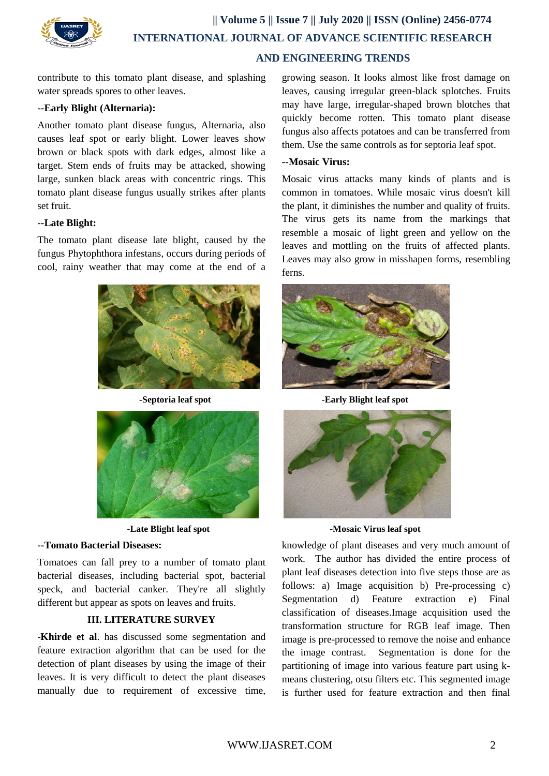

contribute to this tomato plant disease, and splashing water spreads spores to other leaves.

## **--Early Blight (Alternaria):**

Another tomato plant disease fungus, Alternaria, also causes leaf spot or early blight. Lower leaves show brown or black spots with dark edges, almost like a target. Stem ends of fruits may be attacked, showing large, sunken black areas with concentric rings. This tomato plant disease fungus usually strikes after plants set fruit.

## **--Late Blight:**

The tomato plant disease late blight, caused by the fungus Phytophthora infestans, occurs during periods of cool, rainy weather that may come at the end of a





## **--Tomato Bacterial Diseases:**

Tomatoes can fall prey to a number of tomato plant bacterial diseases, including bacterial spot, bacterial speck, and bacterial canker. They're all slightly different but appear as spots on leaves and fruits.

# **III. LITERATURE SURVEY**

-**Khirde et al**. has discussed some segmentation and feature extraction algorithm that can be used for the detection of plant diseases by using the image of their leaves. It is very difficult to detect the plant diseases manually due to requirement of excessive time, growing season. It looks almost like frost damage on leaves, causing irregular green-black splotches. Fruits may have large, irregular-shaped brown blotches that quickly become rotten. This tomato plant disease fungus also affects potatoes and can be transferred from them. Use the same controls as for septoria leaf spot.

## **--Mosaic Virus:**

Mosaic virus attacks many kinds of plants and is common in tomatoes. While mosaic virus doesn't kill the plant, it diminishes the number and quality of fruits. The virus gets its name from the markings that resemble a mosaic of light green and yellow on the leaves and mottling on the fruits of affected plants. Leaves may also grow in misshapen forms, resembling ferns.



**-Septoria leaf spot -Early Blight leaf spot**



**-Late Blight leaf spot -Mosaic Virus leaf spot**

knowledge of plant diseases and very much amount of work. The author has divided the entire process of plant leaf diseases detection into five steps those are as follows: a) Image acquisition b) Pre-processing c) Segmentation d) Feature extraction e) Final classification of diseases.Image acquisition used the transformation structure for RGB leaf image. Then image is pre-processed to remove the noise and enhance the image contrast. Segmentation is done for the partitioning of image into various feature part using kmeans clustering, otsu filters etc. This segmented image is further used for feature extraction and then final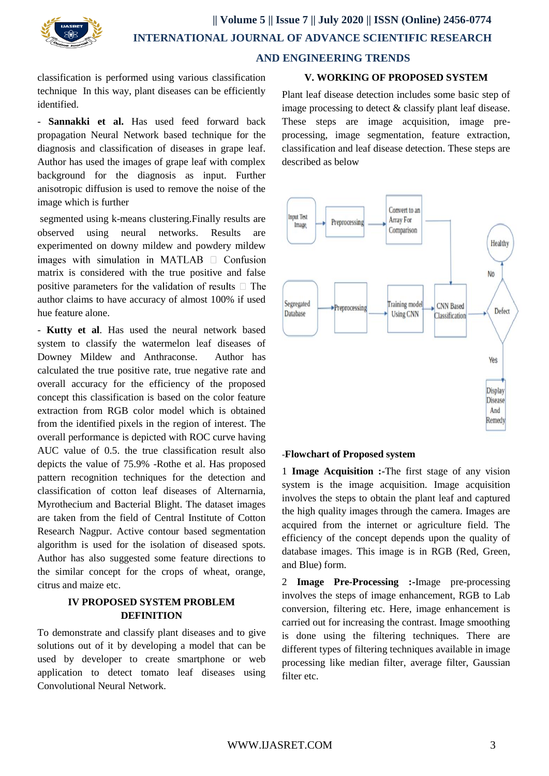

classification is performed using various classification technique In this way, plant diseases can be efficiently identified.

- **Sannakki et al.** Has used feed forward back propagation Neural Network based technique for the diagnosis and classification of diseases in grape leaf. Author has used the images of grape leaf with complex background for the diagnosis as input. Further anisotropic diffusion is used to remove the noise of the image which is further

segmented using k-means clustering.Finally results are observed using neural networks. Results are experimented on downy mildew and powdery mildew images with simulation in MATLAB  $\Box$  Confusion matrix is considered with the true positive and false positive parameters for the validation of results  $\Box$  The author claims to have accuracy of almost 100% if used hue feature alone.

- **Kutty et al**. Has used the neural network based system to classify the watermelon leaf diseases of Downey Mildew and Anthraconse. Author has calculated the true positive rate, true negative rate and overall accuracy for the efficiency of the proposed concept this classification is based on the color feature extraction from RGB color model which is obtained from the identified pixels in the region of interest. The overall performance is depicted with ROC curve having AUC value of 0.5. the true classification result also depicts the value of 75.9% -Rothe et al. Has proposed pattern recognition techniques for the detection and classification of cotton leaf diseases of Alternarnia, Myrothecium and Bacterial Blight. The dataset images are taken from the field of Central Institute of Cotton Research Nagpur. Active contour based segmentation algorithm is used for the isolation of diseased spots. Author has also suggested some feature directions to the similar concept for the crops of wheat, orange, citrus and maize etc.

## **IV PROPOSED SYSTEM PROBLEM DEFINITION**

To demonstrate and classify plant diseases and to give solutions out of it by developing a model that can be used by developer to create smartphone or web application to detect tomato leaf diseases using Convolutional Neural Network.

## **V. WORKING OF PROPOSED SYSTEM**

Plant leaf disease detection includes some basic step of image processing to detect & classify plant leaf disease. These steps are image acquisition, image preprocessing, image segmentation, feature extraction, classification and leaf disease detection. These steps are described as below



#### -**Flowchart of Proposed system**

1 **Image Acquisition :-**The first stage of any vision system is the image acquisition. Image acquisition involves the steps to obtain the plant leaf and captured the high quality images through the camera. Images are acquired from the internet or agriculture field. The efficiency of the concept depends upon the quality of database images. This image is in RGB (Red, Green, and Blue) form.

2 **Image Pre-Processing :-**Image pre-processing involves the steps of image enhancement, RGB to Lab conversion, filtering etc. Here, image enhancement is carried out for increasing the contrast. Image smoothing is done using the filtering techniques. There are different types of filtering techniques available in image processing like median filter, average filter, Gaussian filter etc.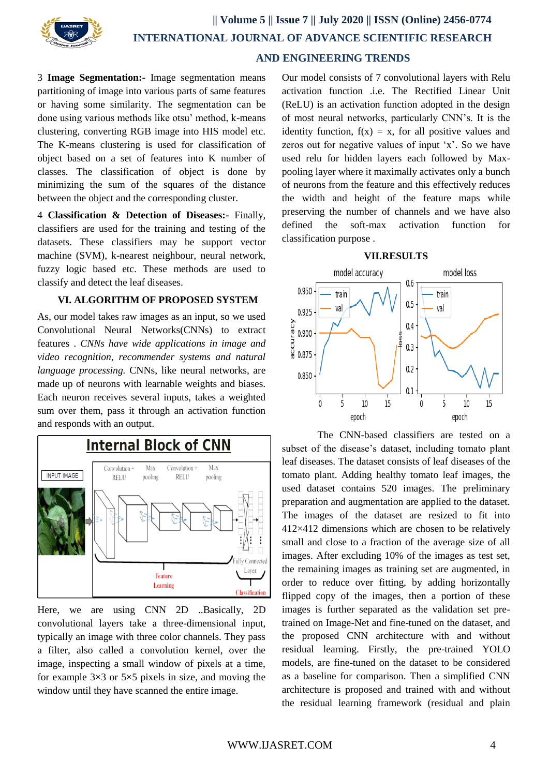

3 **Image Segmentation:-** Image segmentation means partitioning of image into various parts of same features or having some similarity. The segmentation can be done using various methods like otsu' method, k-means clustering, converting RGB image into HIS model etc. The K-means clustering is used for classification of object based on a set of features into K number of classes. The classification of object is done by minimizing the sum of the squares of the distance between the object and the corresponding cluster.

4 **Classification & Detection of Diseases:-** Finally, classifiers are used for the training and testing of the datasets. These classifiers may be support vector machine (SVM), k-nearest neighbour, neural network, fuzzy logic based etc. These methods are used to classify and detect the leaf diseases.

#### **VI. ALGORITHM OF PROPOSED SYSTEM**

As, our model takes raw images as an input, so we used Convolutional Neural Networks(CNNs) to extract features . *CNNs have wide applications in image and video recognition, recommender systems and natural language processing.* CNNs, like neural networks, are made up of neurons with learnable weights and biases. Each neuron receives several inputs, takes a weighted sum over them, pass it through an activation function and responds with an output.



Here, we are using CNN 2D ..Basically, 2D convolutional layers take a three-dimensional input, typically an image with three color channels. They pass a filter, also called a convolution kernel, over the image, inspecting a small window of pixels at a time, for example  $3\times3$  or  $5\times5$  pixels in size, and moving the window until they have scanned the entire image.

Our model consists of 7 convolutional layers with Relu activation function .i.e. The Rectified Linear Unit (ReLU) is an activation function adopted in the design of most neural networks, particularly CNN's. It is the identity function,  $f(x) = x$ , for all positive values and zeros out for negative values of input 'x'. So we have used relu for hidden layers each followed by Maxpooling layer where it maximally activates only a bunch of neurons from the feature and this effectively reduces the width and height of the feature maps while preserving the number of channels and we have also defined the soft-max activation function for classification purpose .





 The CNN-based classifiers are tested on a subset of the disease's dataset, including tomato plant leaf diseases. The dataset consists of leaf diseases of the tomato plant. Adding healthy tomato leaf images, the used dataset contains 520 images. The preliminary preparation and augmentation are applied to the dataset. The images of the dataset are resized to fit into 412×412 dimensions which are chosen to be relatively small and close to a fraction of the average size of all images. After excluding 10% of the images as test set, the remaining images as training set are augmented, in order to reduce over fitting, by adding horizontally flipped copy of the images, then a portion of these images is further separated as the validation set pretrained on Image-Net and fine-tuned on the dataset, and the proposed CNN architecture with and without residual learning. Firstly, the pre-trained YOLO models, are fine-tuned on the dataset to be considered as a baseline for comparison. Then a simplified CNN architecture is proposed and trained with and without the residual learning framework (residual and plain